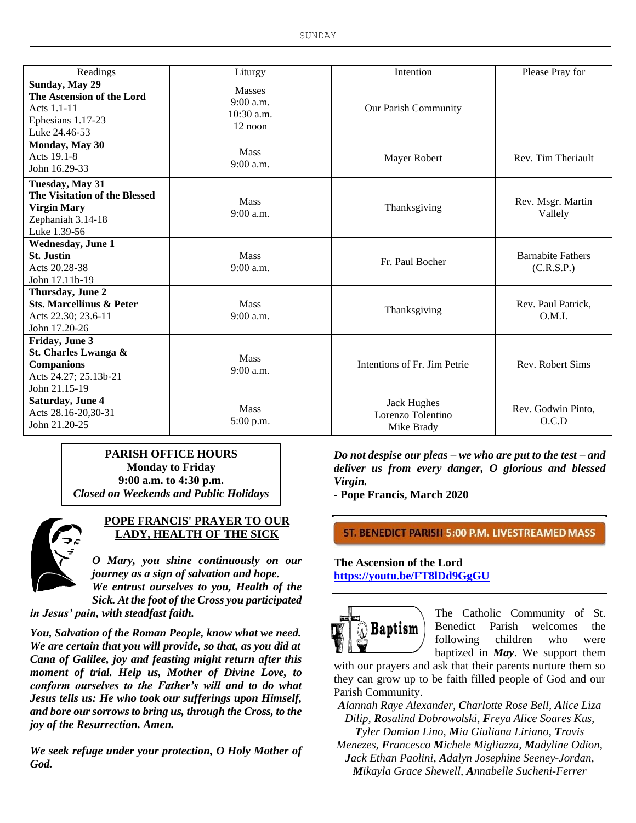| Readings                                                                                                    | Liturgy                                                 | Intention                                             | Please Pray for                        |
|-------------------------------------------------------------------------------------------------------------|---------------------------------------------------------|-------------------------------------------------------|----------------------------------------|
| <b>Sunday, May 29</b><br>The Ascension of the Lord<br>Acts 1.1-11<br>Ephesians 1.17-23<br>Luke 24.46-53     | <b>Masses</b><br>9:00 a.m.<br>$10:30$ a.m.<br>$12$ noon | Our Parish Community                                  |                                        |
| Monday, May 30<br>Acts 19.1-8<br>John 16.29-33                                                              | <b>Mass</b><br>$9:00$ a.m.                              | Mayer Robert                                          | Rev. Tim Theriault                     |
| Tuesday, May 31<br>The Visitation of the Blessed<br><b>Virgin Mary</b><br>Zephaniah 3.14-18<br>Luke 1.39-56 | <b>Mass</b><br>$9:00$ a.m.                              | Thanksgiving                                          | Rev. Msgr. Martin<br>Vallely           |
| <b>Wednesday, June 1</b><br><b>St. Justin</b><br>Acts 20.28-38<br>John 17.11b-19                            | <b>Mass</b><br>$9:00$ a.m.                              | Fr. Paul Bocher                                       | <b>Barnabite Fathers</b><br>(C.R.S.P.) |
| Thursday, June 2<br><b>Sts. Marcellinus &amp; Peter</b><br>Acts 22.30; 23.6-11<br>John 17.20-26             | <b>Mass</b><br>$9:00$ a.m.                              | Thanksgiving                                          | Rev. Paul Patrick,<br>O.M.I.           |
| Friday, June 3<br>St. Charles Lwanga &<br><b>Companions</b><br>Acts 24.27; 25.13b-21<br>John 21.15-19       | Mass<br>$9:00$ a.m.                                     | Intentions of Fr. Jim Petrie                          | Rev. Robert Sims                       |
| Saturday, June 4<br>Acts 28.16-20,30-31<br>John 21.20-25                                                    | <b>Mass</b><br>5:00 p.m.                                | <b>Jack Hughes</b><br>Lorenzo Tolentino<br>Mike Brady | Rev. Godwin Pinto,<br>O.C.D            |

**PARISH OFFICE HOURS Monday to Friday 9:00 a.m. to 4:30 p.m.** *Closed on Weekends and Public Holidays*



### **POPE FRANCIS' PRAYER TO OUR LADY, HEALTH OF THE SICK**

*O Mary, you shine continuously on our journey as a sign of salvation and hope. We entrust ourselves to you, Health of the* 

*Sick. At the foot of the Cross you participated in Jesus' pain, with steadfast faith.*

*You, Salvation of the Roman People, know what we need. We are certain that you will provide, so that, as you did at Cana of Galilee, joy and feasting might return after this moment of trial. Help us, Mother of Divine Love, to conform ourselves to the Father's will and to do what Jesus tells us: He who took our sufferings upon Himself, and bore our sorrows to bring us, through the Cross, to the joy of the Resurrection. Amen.*

*We seek refuge under your protection, O Holy Mother of God.*

*Do not despise our pleas – we who are put to the test – and deliver us from every danger, O glorious and blessed Virgin.*

*-* **Pope Francis, March 2020**

ST. BENEDICT PARISH 5:00 P.M. LIVESTREAMED MASS

### **The Ascension of the Lord <https://youtu.be/FT8lDd9GgGU>**



The Catholic Community of St. Benedict Parish welcomes the following children who were baptized in *May*. We support them

with our prayers and ask that their parents nurture them so they can grow up to be faith filled people of God and our Parish Community.

*Alannah Raye Alexander, Charlotte Rose Bell, Alice Liza Dilip, Rosalind Dobrowolski, Freya Alice Soares Kus,* 

*Tyler Damian Lino, Mia Giuliana Liriano, Travis Menezes, Francesco Michele Migliazza, Madyline Odion, Jack Ethan Paolini, Adalyn Josephine Seeney-Jordan, Mikayla Grace Shewell, Annabelle Sucheni-Ferrer*